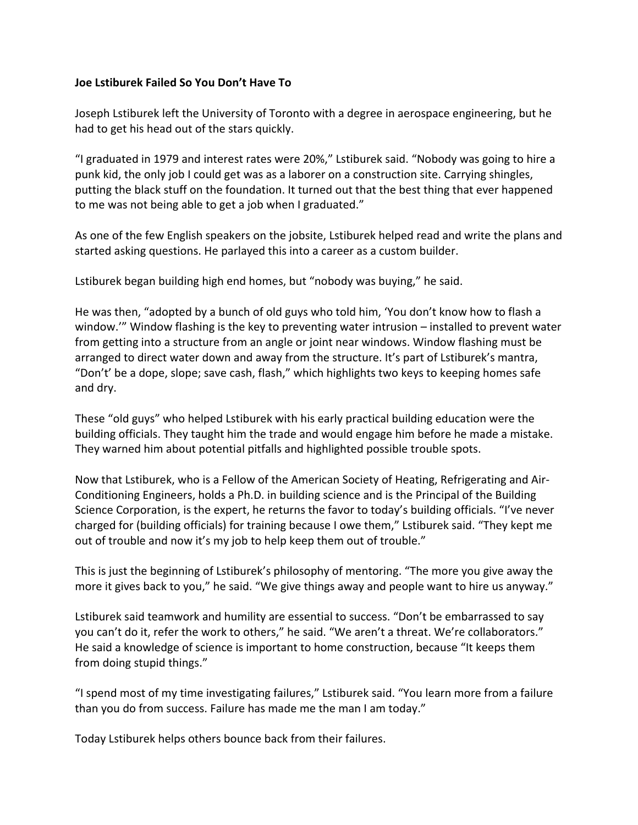### **Joe Lstiburek Failed So You Don't Have To**

Joseph Lstiburek left the University of Toronto with a degree in aerospace engineering, but he had to get his head out of the stars quickly.

"I graduated in 1979 and interest rates were 20%," Lstiburek said. "Nobody was going to hire a punk kid, the only job I could get was as a laborer on a construction site. Carrying shingles, putting the black stuff on the foundation. It turned out that the best thing that ever happened to me was not being able to get a job when I graduated."

As one of the few English speakers on the jobsite, Lstiburek helped read and write the plans and started asking questions. He parlayed this into a career as a custom builder.

Lstiburek began building high end homes, but "nobody was buying," he said.

He was then, "adopted by a bunch of old guys who told him, 'You don't know how to flash a window.'" Window flashing is the key to preventing water intrusion – installed to prevent water from getting into a structure from an angle or joint near windows. Window flashing must be arranged to direct water down and away from the structure. It's part of Lstiburek's mantra, "Don't' be a dope, slope; save cash, flash," which highlights two keys to keeping homes safe and dry.

These "old guys" who helped Lstiburek with his early practical building education were the building officials. They taught him the trade and would engage him before he made a mistake. They warned him about potential pitfalls and highlighted possible trouble spots.

Now that Lstiburek, who is a Fellow of the American Society of Heating, Refrigerating and Air-Conditioning Engineers, holds a Ph.D. in building science and is the Principal of the Building Science Corporation, is the expert, he returns the favor to today's building officials. "I've never charged for (building officials) for training because I owe them," Lstiburek said. "They kept me out of trouble and now it's my job to help keep them out of trouble."

This is just the beginning of Lstiburek's philosophy of mentoring. "The more you give away the more it gives back to you," he said. "We give things away and people want to hire us anyway."

Lstiburek said teamwork and humility are essential to success. "Don't be embarrassed to say you can't do it, refer the work to others," he said. "We aren't a threat. We're collaborators." He said a knowledge of science is important to home construction, because "It keeps them from doing stupid things."

"I spend most of my time investigating failures," Lstiburek said. "You learn more from a failure than you do from success. Failure has made me the man I am today."

Today Lstiburek helps others bounce back from their failures.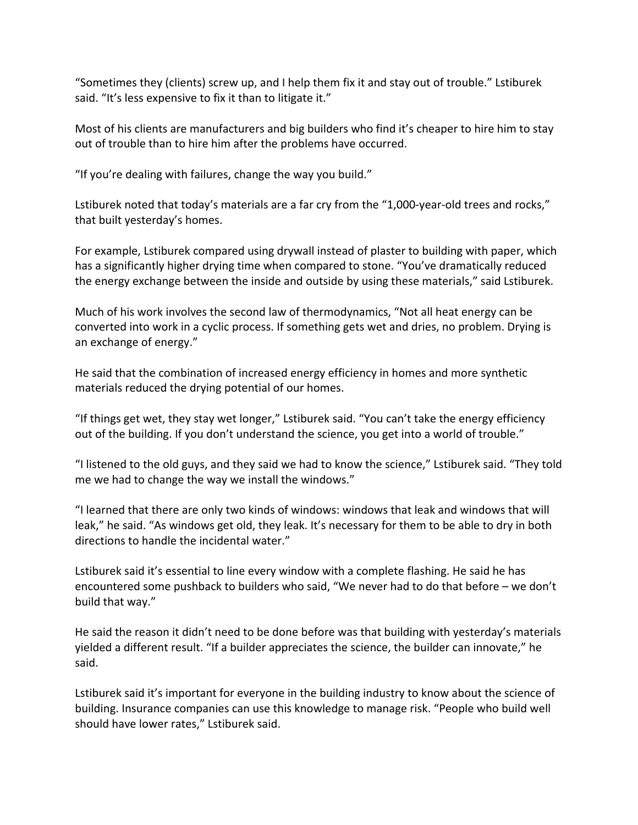"Sometimes they (clients) screw up, and I help them fix it and stay out of trouble." Lstiburek said. "It's less expensive to fix it than to litigate it."

Most of his clients are manufacturers and big builders who find it's cheaper to hire him to stay out of trouble than to hire him after the problems have occurred.

"If you're dealing with failures, change the way you build."

Lstiburek noted that today's materials are a far cry from the "1,000-year-old trees and rocks," that built yesterday's homes.

For example, Lstiburek compared using drywall instead of plaster to building with paper, which has a significantly higher drying time when compared to stone. "You've dramatically reduced the energy exchange between the inside and outside by using these materials," said Lstiburek.

Much of his work involves the second law of thermodynamics, "Not all heat energy can be converted into [work](https://en.wikipedia.org/wiki/Work_(thermodynamics)) in a cyclic process. If something gets wet and dries, no problem. Drying is an exchange of energy."

He said that the combination of increased energy efficiency in homes and more synthetic materials reduced the drying potential of our homes.

"If things get wet, they stay wet longer," Lstiburek said. "You can't take the energy efficiency out of the building. If you don't understand the science, you get into a world of trouble."

"I listened to the old guys, and they said we had to know the science," Lstiburek said. "They told me we had to change the way we install the windows."

"I learned that there are only two kinds of windows: windows that leak and windows that will leak," he said. "As windows get old, they leak. It's necessary for them to be able to dry in both directions to handle the incidental water."

Lstiburek said it's essential to line every window with a complete flashing. He said he has encountered some pushback to builders who said, "We never had to do that before – we don't build that way."

He said the reason it didn't need to be done before was that building with yesterday's materials yielded a different result. "If a builder appreciates the science, the builder can innovate," he said.

Lstiburek said it's important for everyone in the building industry to know about the science of building. Insurance companies can use this knowledge to manage risk. "People who build well should have lower rates," Lstiburek said.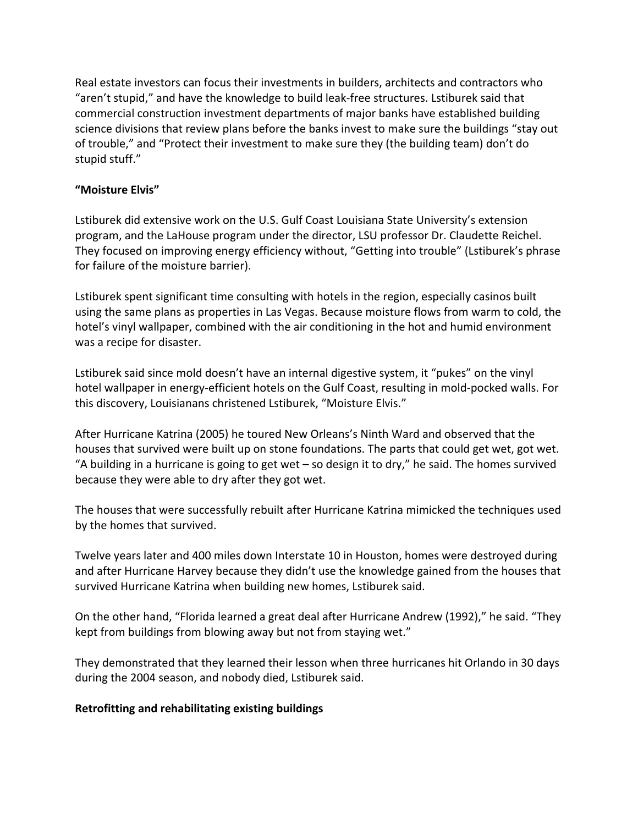Real estate investors can focus their investments in builders, architects and contractors who "aren't stupid," and have the knowledge to build leak-free structures. Lstiburek said that commercial construction investment departments of major banks have established building science divisions that review plans before the banks invest to make sure the buildings "stay out of trouble," and "Protect their investment to make sure they (the building team) don't do stupid stuff."

## **"Moisture Elvis"**

Lstiburek did extensive work on the U.S. Gulf Coast Louisiana State University's extension program, and the LaHouse program under the director, LSU professor Dr. Claudette Reichel. They focused on improving energy efficiency without, "Getting into trouble" (Lstiburek's phrase for failure of the moisture barrier).

Lstiburek spent significant time consulting with hotels in the region, especially casinos built using the same plans as properties in Las Vegas. Because moisture flows from warm to cold, the hotel's vinyl wallpaper, combined with the air conditioning in the hot and humid environment was a recipe for disaster.

Lstiburek said since mold doesn't have an internal digestive system, it "pukes" on the vinyl hotel wallpaper in energy-efficient hotels on the Gulf Coast, resulting in mold-pocked walls. For this discovery, Louisianans christened Lstiburek, "Moisture Elvis."

After Hurricane Katrina (2005) he toured New Orleans's Ninth Ward and observed that the houses that survived were built up on stone foundations. The parts that could get wet, got wet. "A building in a hurricane is going to get wet – so design it to dry," he said. The homes survived because they were able to dry after they got wet.

The houses that were successfully rebuilt after Hurricane Katrina mimicked the techniques used by the homes that survived.

Twelve years later and 400 miles down Interstate 10 in Houston, homes were destroyed during and after Hurricane Harvey because they didn't use the knowledge gained from the houses that survived Hurricane Katrina when building new homes, Lstiburek said.

On the other hand, "Florida learned a great deal after Hurricane Andrew (1992)," he said. "They kept from buildings from blowing away but not from staying wet."

They demonstrated that they learned their lesson when three hurricanes hit Orlando in 30 days during the 2004 season, and nobody died, Lstiburek said.

### **Retrofitting and rehabilitating existing buildings**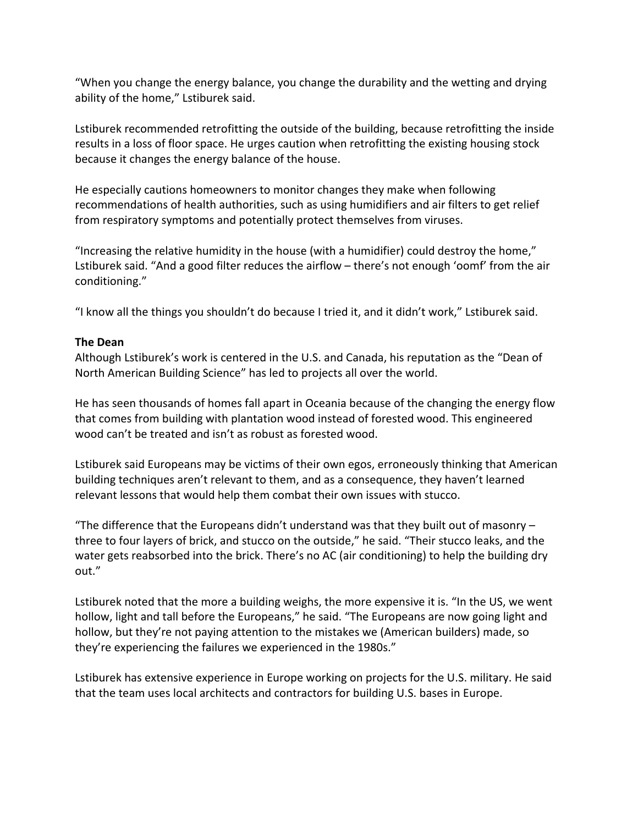"When you change the energy balance, you change the durability and the wetting and drying ability of the home," Lstiburek said.

Lstiburek recommended retrofitting the outside of the building, because retrofitting the inside results in a loss of floor space. He urges caution when retrofitting the existing housing stock because it changes the energy balance of the house.

He especially cautions homeowners to monitor changes they make when following recommendations of health authorities, such as using humidifiers and air filters to get relief from respiratory symptoms and potentially protect themselves from viruses.

"Increasing the relative humidity in the house (with a humidifier) could destroy the home," Lstiburek said. "And a good filter reduces the airflow – there's not enough 'oomf' from the air conditioning."

"I know all the things you shouldn't do because I tried it, and it didn't work," Lstiburek said.

## **The Dean**

Although Lstiburek's work is centered in the U.S. and Canada, his reputation as the "Dean of North American Building Science" has led to projects all over the world.

He has seen thousands of homes fall apart in Oceania because of the changing the energy flow that comes from building with plantation wood instead of forested wood. This engineered wood can't be treated and isn't as robust as forested wood.

Lstiburek said Europeans may be victims of their own egos, erroneously thinking that American building techniques aren't relevant to them, and as a consequence, they haven't learned relevant lessons that would help them combat their own issues with stucco.

"The difference that the Europeans didn't understand was that they built out of masonry  $$ three to four layers of brick, and stucco on the outside," he said. "Their stucco leaks, and the water gets reabsorbed into the brick. There's no AC (air conditioning) to help the building dry out."

Lstiburek noted that the more a building weighs, the more expensive it is. "In the US, we went hollow, light and tall before the Europeans," he said. "The Europeans are now going light and hollow, but they're not paying attention to the mistakes we (American builders) made, so they're experiencing the failures we experienced in the 1980s."

Lstiburek has extensive experience in Europe working on projects for the U.S. military. He said that the team uses local architects and contractors for building U.S. bases in Europe.